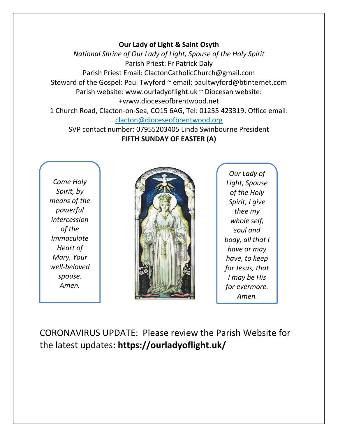#### **Our Lady of Light & Saint Osyth**

*National Shrine of Our Lady of Light, Spouse of the Holy Spirit* Parish Priest: Fr Patrick Daly Parish Priest Email: ClactonCatholicChurch@gmail.com Steward of the Gospel: Paul Twyford ~ email: paultwyford@btinternet.com Parish website: www.ourladyoflight.uk ~ Diocesan website: +www.dioceseofbrentwood.net 1 Church Road, Clacton-on-Sea, CO15 6AG, Tel: 01255 423319, Office email:

[clacton@dioceseofbrentwood.org](mailto:clacton@dioceseofbrentwood.org)

SVP contact number: 07955203405 Linda Swinbourne President **FIFTH SUNDAY OF EASTER (A)**

*Come Holy Spirit, by means of the powerful intercession of the Immaculate Heart of Mary, Your well-beloved spouse. Amen.*



*Our Lady of Light, Spouse of the Holy Spirit, I give thee my whole self, soul and body, all that I have or may have, to keep for Jesus, that I may be His for evermore. Amen.*

CORONAVIRUS UPDATE: Please review the Parish Website for the latest updates**: https://ourladyoflight.uk/**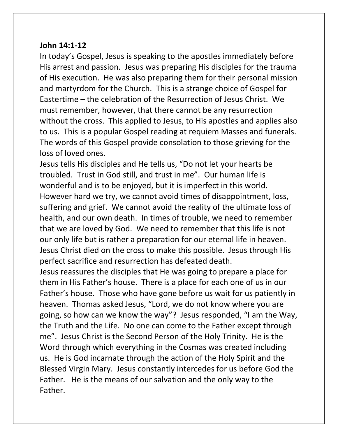#### **John 14:1-12**

In today's Gospel, Jesus is speaking to the apostles immediately before His arrest and passion. Jesus was preparing His disciples for the trauma of His execution. He was also preparing them for their personal mission and martyrdom for the Church. This is a strange choice of Gospel for Eastertime – the celebration of the Resurrection of Jesus Christ. We must remember, however, that there cannot be any resurrection without the cross. This applied to Jesus, to His apostles and applies also to us. This is a popular Gospel reading at requiem Masses and funerals. The words of this Gospel provide consolation to those grieving for the loss of loved ones.

Jesus tells His disciples and He tells us, "Do not let your hearts be troubled. Trust in God still, and trust in me". Our human life is wonderful and is to be enjoyed, but it is imperfect in this world. However hard we try, we cannot avoid times of disappointment, loss, suffering and grief. We cannot avoid the reality of the ultimate loss of health, and our own death. In times of trouble, we need to remember that we are loved by God. We need to remember that this life is not our only life but is rather a preparation for our eternal life in heaven. Jesus Christ died on the cross to make this possible. Jesus through His perfect sacrifice and resurrection has defeated death.

Jesus reassures the disciples that He was going to prepare a place for them in His Father's house. There is a place for each one of us in our Father's house. Those who have gone before us wait for us patiently in heaven. Thomas asked Jesus, "Lord, we do not know where you are going, so how can we know the way"? Jesus responded, "I am the Way, the Truth and the Life. No one can come to the Father except through me". Jesus Christ is the Second Person of the Holy Trinity. He is the Word through which everything in the Cosmas was created including us. He is God incarnate through the action of the Holy Spirit and the Blessed Virgin Mary. Jesus constantly intercedes for us before God the Father. He is the means of our salvation and the only way to the Father.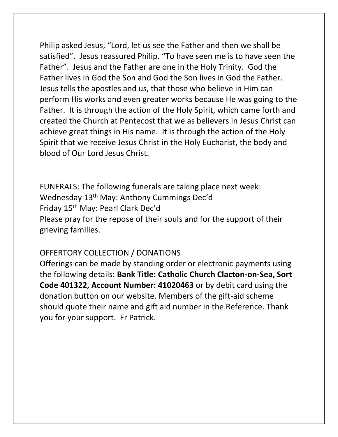Philip asked Jesus, "Lord, let us see the Father and then we shall be satisfied". Jesus reassured Philip. "To have seen me is to have seen the Father". Jesus and the Father are one in the Holy Trinity. God the Father lives in God the Son and God the Son lives in God the Father. Jesus tells the apostles and us, that those who believe in Him can perform His works and even greater works because He was going to the Father. It is through the action of the Holy Spirit, which came forth and created the Church at Pentecost that we as believers in Jesus Christ can achieve great things in His name. It is through the action of the Holy Spirit that we receive Jesus Christ in the Holy Eucharist, the body and blood of Our Lord Jesus Christ.

FUNERALS: The following funerals are taking place next week: Wednesday 13th May: Anthony Cummings Dec'd Friday 15th May: Pearl Clark Dec'd Please pray for the repose of their souls and for the support of their grieving families.

### OFFERTORY COLLECTION / DONATIONS

Offerings can be made by standing order or electronic payments using the following details: **Bank Title: Catholic Church Clacton-on-Sea, Sort Code 401322, Account Number: 41020463** or by debit card using the donation button on our website. Members of the gift-aid scheme should quote their name and gift aid number in the Reference. Thank you for your support. Fr Patrick.